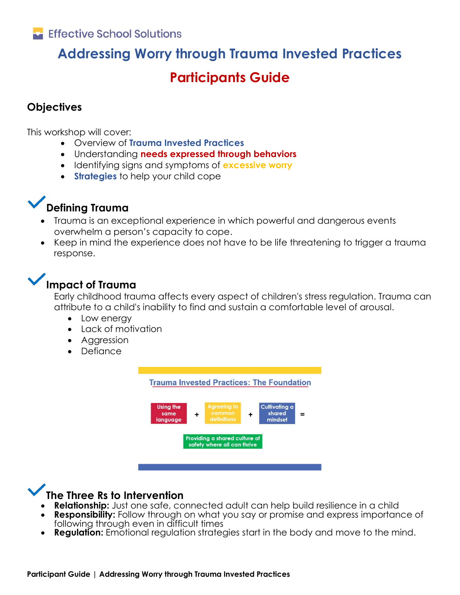# **Addressing Worry through Trauma Invested Practices Participants Guide**

## **Objectives**

This workshop will cover:

- Overview of **Trauma Invested Practices**
- Understanding **needs expressed through behaviors**
- Identifying signs and symptoms of **excessive worry**
- **Strategies** to help your child cope

## **Defining Trauma**

- Trauma is an exceptional experience in which powerful and dangerous events overwhelm a person's capacity to cope.
- Keep in mind the experience does not have to be life threatening to trigger a trauma response.

## **Impact of Trauma**

Early childhood trauma affects every aspect of children's stress regulation. Trauma can attribute to a child's inability to find and sustain a comfortable level of arousal.

- Low energy
- Lack of motivation
- Aggression
- Defiance



## **The Three Rs to Intervention**

- **Relationship:** Just one safe, connected adult can help build resilience in a child
- **Responsibility:** Follow through on what you say or promise and express importance of following through even in difficult times
- **Regulation:** Emotional regulation strategies start in the body and move to the mind.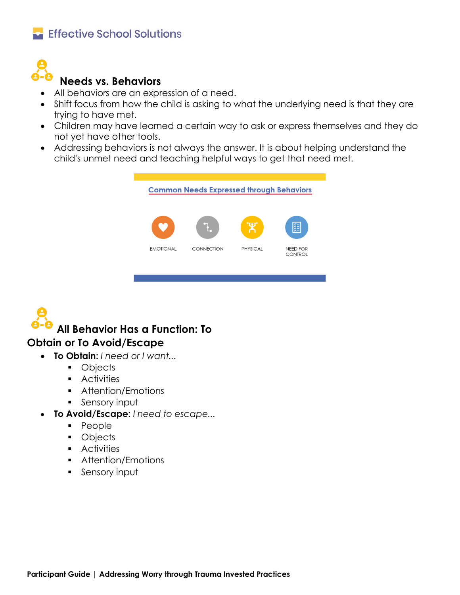

## **Needs vs. Behaviors**

- All behaviors are an expression of a need.
- Shift focus from how the child is asking to what the underlying need is that they are trying to have met.
- Children may have learned a certain way to ask or express themselves and they do not yet have other tools.
- Addressing behaviors is not always the answer. It is about helping understand the child's unmet need and teaching helpful ways to get that need met.



# **All Behavior Has a Function: To Obtain or To Avoid/Escape**

- **To Obtain:** *I need or I want...* 
	- Objects
	- Activities
	- Attention/Emotions
	- Sensory input
- **To Avoid/Escape:** *I need to escape...*
	- People
	- Objects
	- Activities
	- Attention/Emotions
	- Sensory input